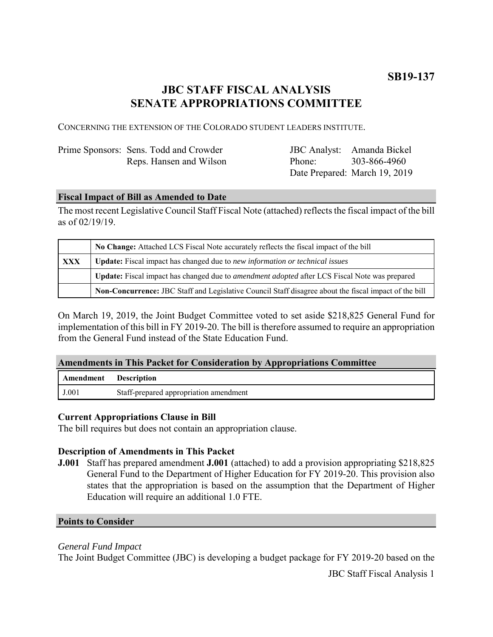## **JBC STAFF FISCAL ANALYSIS SENATE APPROPRIATIONS COMMITTEE**

CONCERNING THE EXTENSION OF THE COLORADO STUDENT LEADERS INSTITUTE.

| Prime Sponsors: Sens. Todd and Crowder |  |
|----------------------------------------|--|
| Reps. Hansen and Wilson                |  |

JBC Analyst: Amanda Bickel Phone: Date Prepared: March 19, 2019 303-866-4960

### **Fiscal Impact of Bill as Amended to Date**

The most recent Legislative Council Staff Fiscal Note (attached) reflects the fiscal impact of the bill as of 02/19/19.

|            | No Change: Attached LCS Fiscal Note accurately reflects the fiscal impact of the bill                 |  |
|------------|-------------------------------------------------------------------------------------------------------|--|
| <b>XXX</b> | <b>Update:</b> Fiscal impact has changed due to new information or technical issues                   |  |
|            | Update: Fiscal impact has changed due to <i>amendment adopted</i> after LCS Fiscal Note was prepared  |  |
|            | Non-Concurrence: JBC Staff and Legislative Council Staff disagree about the fiscal impact of the bill |  |

On March 19, 2019, the Joint Budget Committee voted to set aside \$218,825 General Fund for implementation of this bill in FY 2019-20. The bill is therefore assumed to require an appropriation from the General Fund instead of the State Education Fund.

### **Amendments in This Packet for Consideration by Appropriations Committee**

| Amendment Description |                                        |
|-----------------------|----------------------------------------|
| J.001                 | Staff-prepared appropriation amendment |

### **Current Appropriations Clause in Bill**

The bill requires but does not contain an appropriation clause.

### **Description of Amendments in This Packet**

**J.001** Staff has prepared amendment **J.001** (attached) to add a provision appropriating \$218,825 General Fund to the Department of Higher Education for FY 2019-20. This provision also states that the appropriation is based on the assumption that the Department of Higher Education will require an additional 1.0 FTE.

#### **Points to Consider**

### *General Fund Impact*

The Joint Budget Committee (JBC) is developing a budget package for FY 2019-20 based on the